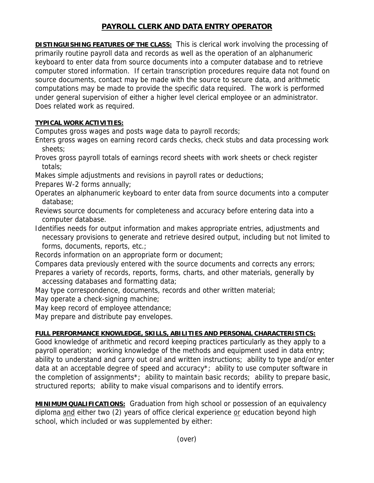## **PAYROLL CLERK AND DATA ENTRY OPERATOR**

**DISTINGUISHING FEATURES OF THE CLASS:** This is clerical work involving the processing of primarily routine payroll data and records as well as the operation of an alphanumeric keyboard to enter data from source documents into a computer database and to retrieve computer stored information. If certain transcription procedures require data not found on source documents, contact may be made with the source to secure data, and arithmetic computations may be made to provide the specific data required. The work is performed under general supervision of either a higher level clerical employee or an administrator. Does related work as required.

## **TYPICAL WORK ACTIVITIES:**

Computes gross wages and posts wage data to payroll records;

Enters gross wages on earning record cards checks, check stubs and data processing work sheets;

Proves gross payroll totals of earnings record sheets with work sheets or check register totals;

Makes simple adjustments and revisions in payroll rates or deductions;

Prepares W-2 forms annually;

Operates an alphanumeric keyboard to enter data from source documents into a computer database;

Reviews source documents for completeness and accuracy before entering data into a computer database.

Identifies needs for output information and makes appropriate entries, adjustments and necessary provisions to generate and retrieve desired output, including but not limited to forms, documents, reports, etc.;

Records information on an appropriate form or document;

Compares data previously entered with the source documents and corrects any errors; Prepares a variety of records, reports, forms, charts, and other materials, generally by

accessing databases and formatting data;

May type correspondence, documents, records and other written material;

May operate a check-signing machine;

May keep record of employee attendance;

May prepare and distribute pay envelopes.

## **FULL PERFORMANCE KNOWLEDGE, SKILLS, ABILITIES AND PERSONAL CHARACTERISTICS:**

Good knowledge of arithmetic and record keeping practices particularly as they apply to a payroll operation; working knowledge of the methods and equipment used in data entry; ability to understand and carry out oral and written instructions; ability to type and/or enter data at an acceptable degree of speed and accuracy\*; ability to use computer software in the completion of assignments\*; ability to maintain basic records; ability to prepare basic, structured reports; ability to make visual comparisons and to identify errors.

**MINIMUM QUALIFICATIONS:** Graduation from high school or possession of an equivalency diploma and either two (2) years of office clerical experience or education beyond high school, which included or was supplemented by either: